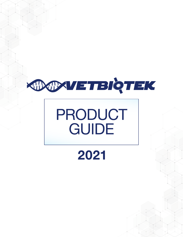

## PRODUCT **GUIDE**

## 2021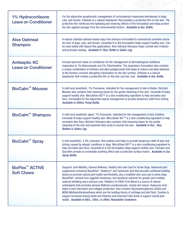| 1% Hydrocortisone<br><b>Leave on Conditioner</b>       | For the adjunctive symptomatic management of corticosteroid-responsive dermatoses in dogs,<br>cats, and horses. Chitosan is a natural biopolymer that provides a protective film on the skin. The<br>protective film reinforces the hydrating and restoring effects of the formulation and helps protect<br>the skin against damage from the environmental factors. Available in 8oz. Bottle.                                                                                                                                                                                                                                                                                                                                           |
|--------------------------------------------------------|-----------------------------------------------------------------------------------------------------------------------------------------------------------------------------------------------------------------------------------------------------------------------------------------------------------------------------------------------------------------------------------------------------------------------------------------------------------------------------------------------------------------------------------------------------------------------------------------------------------------------------------------------------------------------------------------------------------------------------------------|
| <b>Aloe Oatmeal</b><br><b>Shampoo</b>                  | A natural colloidal oatmeal-based soap-free shampoo formulated to remoisturize sensitive and/or<br>dry skin of dogs, cats, and horses. Ceramide III in the formulation helps support healthy skin. Can<br>be used safely with topical flea applications. Aloe Oatmeal Shampoo helps combat skin irritation<br>and promotes healing. Available in 16oz. Bottle or Gallon Jug.                                                                                                                                                                                                                                                                                                                                                            |
| <b>Antiseptic KC</b><br><b>Leave on Conditioner</b>    | A broad spectrum leave on conditioner for the management of dermatological conditions<br>responsive to 1% Ketoconazole and 2% Chlorhexidine. The proprietary formulation also contains<br>a unique combination of chitosan and alkyl polyglucoside that helps to reduce microbial adhesion<br>to the stratum corneum disrupting colonization on the skin surface. Chitosan is a natural<br>biopolymer that creates a protective film on the skin and hair coat. Available in 8oz. Bottle.                                                                                                                                                                                                                                               |
| <b>BioCalm™ Mousse</b>                                 | A mild local anesthetic, 1% Pramoxine, indicated for the management of skin irritation. BioCalm<br>Mousse also contains mild cleansing bases for the gentle cleansing of the skin. Ceramide III helps<br>support healthy skin. MicroSilver BG™ is a skin conditioning ingredient to help normalize skin<br>flora. Formulated for the adjunctive topical management to provide temporary relief from itching.<br>Available in 200mL Pump Bottle.                                                                                                                                                                                                                                                                                         |
| BioCalm <sup>™</sup> Shampoo                           | A mild local anesthetic agent, 1% Pramoxine, indicated for the management of skin irritation.<br>Ceramide III helps support healthy skin. MicroSilver BG™ is a skin conditioning ingredient to help<br>normalize skin flora. BioCalm Shampoo also contains mild cleansing bases for the gentle<br>cleansing of the skin and essential fatty acids to nourish the skin. Available in 80z., 160z.<br><b>Bottles or Gallon Jug.</b>                                                                                                                                                                                                                                                                                                        |
| BioCalm <sup>™</sup> Spray                             | A mild anesthetic, 2.4% Lidocaine, that soothes and helps to provide temporary relief of pain and<br>itching caused by allergic conditions in dogs. MicroSilver BG™ is a skin conditioning ingredient to<br>help normalize skin flora. Ceramide III in the formulation helps support healthy skin. Pemulen and<br>Glycofilm provide an immediate soothing effect and a protective surface matrix. Available in 20z.<br><b>Spray Bottle.</b>                                                                                                                                                                                                                                                                                             |
| <b>BioFlex<sup>™</sup> ACTIVE</b><br><b>Soft Chews</b> | Supports Joint Mobility, General Wellness, Healthy Skin and Coat for Active Dogs. Advanced joint<br>supplement containing BiovaPlex®, VitaBerry® and Hyaluronic Acid that provides nutritional building<br>blocks to promote natural joint health and flexibility, plus a healthier skin and coat in active dogs.<br>BiovaPlex <sup>®</sup> , derived from eggshell membrane, has beneficial nutrients for greater joint mobility,<br>reduced shedding and a lustrous coat. VitaBerry Hi ORAC Fruit Blend is a source of natural<br>antioxidants that promotes General Wellness (cardiovascular, mental and vision). Hyaluronic Acid<br>helps in joint lubrication and collagen production. Also contains Glycosaminoglycans (GAGs) and |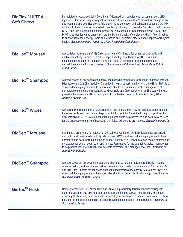| <b>BioFlex<sup>™</sup> ULTRA</b><br><b>Soft Chews</b> | Formulated for Advanced Joint Conditions. Advanced joint supplement containing new ULTRA<br>ingredients for better support of joint function and flexibility. Ayuflex™ has natural analgesic and<br>anti-edema properties. Hyaluronic Acid aids in joint lubrication and collagen production. UC-II®<br>works with the immune system to help maintain joint integrity. Boswellia Serrata Extract provides<br>COX-2 and LOX-5 enzyme inhibition properties. Also contains Glycosaminoglycans (GAGs) and<br>MSM (Methylsulfonylmethane) which are the building blocks of cartilage and joint fluid, Creatine<br>to support increased energy levels and Vitamins and Essential Fatty Acids to support overall joint<br>health. Available in 60ct., 120ct., or 240ct. Resealable Containers. |
|-------------------------------------------------------|------------------------------------------------------------------------------------------------------------------------------------------------------------------------------------------------------------------------------------------------------------------------------------------------------------------------------------------------------------------------------------------------------------------------------------------------------------------------------------------------------------------------------------------------------------------------------------------------------------------------------------------------------------------------------------------------------------------------------------------------------------------------------------------|
| <b>BioHex<sup>™</sup> Mousse</b>                      | A proprietary formulation of 3% Chlorhexidine and Climbazole for enhanced antiseptic and<br>antibiofilm activity. Ceramide III helps support healthy skin. MicroSilver BG™ is a skin<br>conditioning ingredient to help normalize skin flora. Is indicted for the management of<br>dermatological conditions responsive to Climbazole and Chlorhexidine. Available in 200mL<br><b>Pump Bottle.</b>                                                                                                                                                                                                                                                                                                                                                                                       |
| BioHex <sup>™</sup> Shampoo                           | A broad-spectrum antiseptic and antibiofilm cleansing proprietary formulation shampoo with 2%<br>Miconazole and 2% Chlorhexidine. Ceramide III helps support healthy skin. MicroSilver BG™ is a<br>skin conditioning ingredient to help normalize skin flora. Is indicted for the management of<br>dermatological conditions responsive to Miconazole and Chlorhexidine. In an ISU study, BioHex<br>proved to have superior efficacy compared to the leading brands. Available in 80z., 160z.<br><b>Bottles or Gallon Jug.</b>                                                                                                                                                                                                                                                           |
| <b>BioHex<sup>™</sup> Wipes</b>                       | A proprietary formulation of 3% Chlorhexidine and Climbazole in a water based Micellar Solution<br>for enhanced broad-spectrum antiseptic, antibiofilm activity. Ceramide III helps support healthy<br>skin. MicroSilver BG™ is a skin conditioning ingredient to help normalize skin flora. May be used<br>for the antiseptic cleansing of hot spots, skin folds, axillae, and groin areas. Available in 50ct. jar.                                                                                                                                                                                                                                                                                                                                                                     |
| <b>BioSeb™ Mousse</b>                                 | Combines a proprietary formulation of 2% Salicylic Acid and 10% Ethyl Lactate for enhanced<br>antiseptic and keratoplastic activity. MicroSilver BG™ is a skin conditioning ingredient to help<br>normalize skin flora. Ceramide III helps support healthy skin. BioSeb Mousse has an optimal skin<br>pH balance for use on dogs, cats, and horses. Formulated for the adjunctive topical management<br>to help normalize keratinization, reduce scale formation, and manage seborrhea. Available in<br>200mL Pump Bottle.                                                                                                                                                                                                                                                               |
| BioSeb <sup>™</sup> Shampoo                           | A broad-spectrum antiseptic, keratoplastic shampoo to help normalize keratinization, reduce<br>scale formation, and manage seborrhea. Combines a proprietary formulation of 2% Salicylic Acid<br>and 10% Ethyl Lactate for enhanced antiseptic and keratoplastic activity. MicroSilver BG™ is a<br>skin conditioning ingredient to help normalize skin flora. Ceramide III helps support healthy skin.<br>Available in 80z. or 160z. Bottles.                                                                                                                                                                                                                                                                                                                                            |
| <b>BioTris<sup>™</sup> Flush</b>                      | Uniquely combines 0.1% Miconazole and EDTA in a proprietary formulation with astringent,<br>general cleansing, and drying properties. Ceramide III helps support healthy skin. Antiseptic<br>cleansing flush for dogs and cats with dermatological conditions responsive to Miconazole. May<br>be used for the topical cleansing of puncture wounds, lacerations, and abrasions. Available in<br>4oz. or 16oz. Bottles.                                                                                                                                                                                                                                                                                                                                                                  |

RE CONTROLL

K